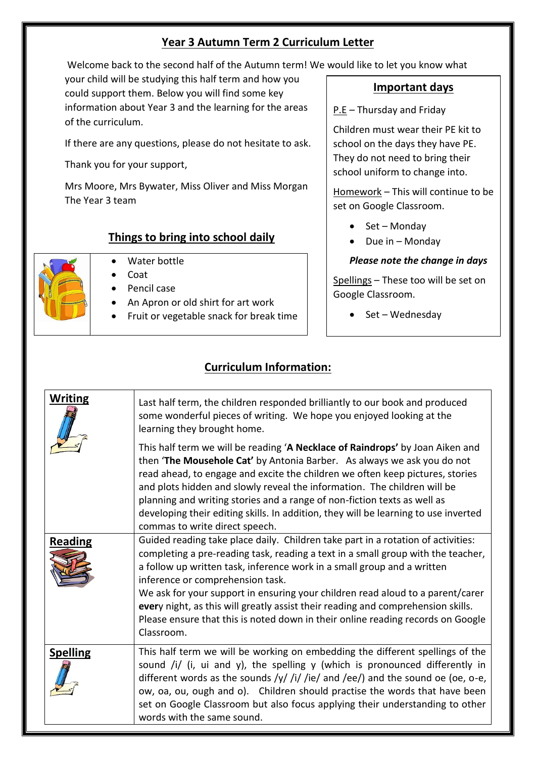### **Year 3 Autumn Term 2 Curriculum Letter**

Welcome back to the second half of the Autumn term! We would like to let you know what

your child will be studying this half term and how you could support them. Below you will find some key information about Year 3 and the learning for the areas of the curriculum.

If there are any questions, please do not hesitate to ask.

Thank you for your support,

Mrs Moore, Mrs Bywater, Miss Oliver and Miss Morgan The Year 3 team

## **Things to bring into school daily**



- Water bottle
- Coat
- Pencil case
- An Apron or old shirt for art work
- Fruit or vegetable snack for break time

#### **Important days**

P.E – Thursday and Friday

Children must wear their PE kit to school on the days they have PE. They do not need to bring their school uniform to change into.

Homework – This will continue to be set on Google Classroom.

- $\bullet$  Set Monday
- $\bullet$  Due in Monday

#### *Please note the change in days*

Spellings – These too will be set on Google Classroom.

 $\bullet$  Set – Wednesday

# **Curriculum Information:**

| <b>Writing</b>  | Last half term, the children responded brilliantly to our book and produced<br>some wonderful pieces of writing. We hope you enjoyed looking at the<br>learning they brought home.                                                                                                                                                                                                                                                                                                                                                                         |
|-----------------|------------------------------------------------------------------------------------------------------------------------------------------------------------------------------------------------------------------------------------------------------------------------------------------------------------------------------------------------------------------------------------------------------------------------------------------------------------------------------------------------------------------------------------------------------------|
|                 | This half term we will be reading 'A Necklace of Raindrops' by Joan Aiken and<br>then 'The Mousehole Cat' by Antonia Barber. As always we ask you do not<br>read ahead, to engage and excite the children we often keep pictures, stories<br>and plots hidden and slowly reveal the information. The children will be<br>planning and writing stories and a range of non-fiction texts as well as<br>developing their editing skills. In addition, they will be learning to use inverted<br>commas to write direct speech.                                 |
| <b>Reading</b>  | Guided reading take place daily. Children take part in a rotation of activities:<br>completing a pre-reading task, reading a text in a small group with the teacher,<br>a follow up written task, inference work in a small group and a written<br>inference or comprehension task.<br>We ask for your support in ensuring your children read aloud to a parent/carer<br>every night, as this will greatly assist their reading and comprehension skills.<br>Please ensure that this is noted down in their online reading records on Google<br>Classroom. |
| <b>Spelling</b> | This half term we will be working on embedding the different spellings of the<br>sound /i/ (i, ui and y), the spelling $y$ (which is pronounced differently in<br>different words as the sounds /y/ /i/ /ie/ and /ee/) and the sound oe (oe, o-e,<br>ow, oa, ou, ough and o). Children should practise the words that have been<br>set on Google Classroom but also focus applying their understanding to other<br>words with the same sound.                                                                                                              |